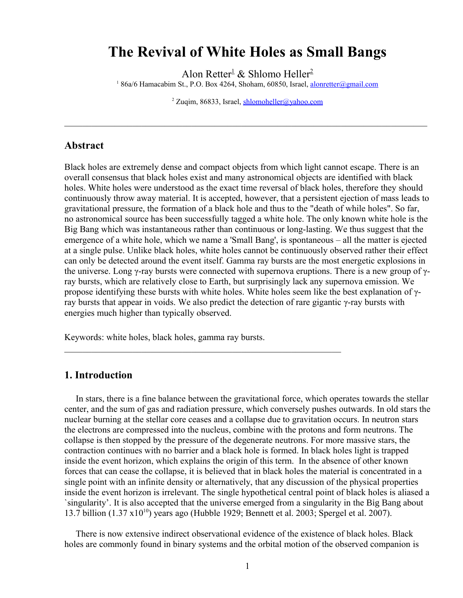# **The Revival of White Holes as Small Bangs**

Alon Retter<sup>1</sup> & Shlomo Heller<sup>2</sup>

<sup>1</sup> 86a/6 Hamacabim St., P.O. Box 4264, Shoham, 60850, Israel, *alonretter@gmail.com* 

 $2$  Zuqim, 86833, Israel, [shlomoheller@yahoo.com](mailto:shlomoheller@yahoo.com)

 $\mathcal{L}_\mathcal{L} = \{ \mathcal{L}_\mathcal{L} = \{ \mathcal{L}_\mathcal{L} = \{ \mathcal{L}_\mathcal{L} = \{ \mathcal{L}_\mathcal{L} = \{ \mathcal{L}_\mathcal{L} = \{ \mathcal{L}_\mathcal{L} = \{ \mathcal{L}_\mathcal{L} = \{ \mathcal{L}_\mathcal{L} = \{ \mathcal{L}_\mathcal{L} = \{ \mathcal{L}_\mathcal{L} = \{ \mathcal{L}_\mathcal{L} = \{ \mathcal{L}_\mathcal{L} = \{ \mathcal{L}_\mathcal{L} = \{ \mathcal{L}_\mathcal{$ 

### **Abstract**

Black holes are extremely dense and compact objects from which light cannot escape. There is an overall consensus that black holes exist and many astronomical objects are identified with black holes. White holes were understood as the exact time reversal of black holes, therefore they should continuously throw away material. It is accepted, however, that a persistent ejection of mass leads to gravitational pressure, the formation of a black hole and thus to the "death of while holes". So far, no astronomical source has been successfully tagged a white hole. The only known white hole is the Big Bang which was instantaneous rather than continuous or long-lasting. We thus suggest that the emergence of a white hole, which we name a 'Small Bang', is spontaneous – all the matter is ejected at a single pulse. Unlike black holes, white holes cannot be continuously observed rather their effect can only be detected around the event itself. Gamma ray bursts are the most energetic explosions in the universe. Long γ-ray bursts were connected with supernova eruptions. There is a new group of γray bursts, which are relatively close to Earth, but surprisingly lack any supernova emission. We propose identifying these bursts with white holes. White holes seem like the best explanation of γray bursts that appear in voids. We also predict the detection of rare gigantic γ-ray bursts with energies much higher than typically observed.

Keywords: white holes, black holes, gamma ray bursts.

 $\mathcal{L}_\text{max}$  , and the contribution of the contribution of the contribution of the contribution of the contribution of the contribution of the contribution of the contribution of the contribution of the contribution of t

#### **1. Introduction**

 In stars, there is a fine balance between the gravitational force, which operates towards the stellar center, and the sum of gas and radiation pressure, which conversely pushes outwards. In old stars the nuclear burning at the stellar core ceases and a collapse due to gravitation occurs. In neutron stars the electrons are compressed into the nucleus, combine with the protons and form neutrons. The collapse is then stopped by the pressure of the degenerate neutrons. For more massive stars, the contraction continues with no barrier and a black hole is formed. In black holes light is trapped inside the event horizon, which explains the origin of this term. In the absence of other known forces that can cease the collapse, it is believed that in black holes the material is concentrated in a single point with an infinite density or alternatively, that any discussion of the physical properties inside the event horizon is irrelevant. The single hypothetical central point of black holes is aliased a `singularity'. It is also accepted that the universe emerged from a singularity in the Big Bang about 13.7 billion  $(1.37 \times 10^{10})$  years ago (Hubble 1929; Bennett et al. 2003; Spergel et al. 2007).

 There is now extensive indirect observational evidence of the existence of black holes. Black holes are commonly found in binary systems and the orbital motion of the observed companion is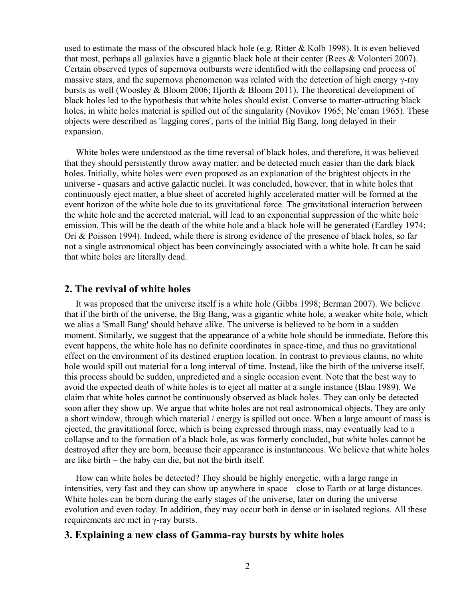used to estimate the mass of the obscured black hole (e.g. Ritter & Kolb 1998). It is even believed that most, perhaps all galaxies have a gigantic black hole at their center (Rees & Volonteri 2007). Certain observed types of supernova outbursts were identified with the collapsing end process of massive stars, and the supernova phenomenon was related with the detection of high energy γ-ray bursts as well (Woosley & Bloom 2006; Hjorth & Bloom 2011). The theoretical development of black holes led to the hypothesis that white holes should exist. Converse to matter-attracting black holes, in white holes material is spilled out of the singularity (Novikov 1965; Ne'eman 1965). These objects were described as 'lagging cores', parts of the initial Big Bang, long delayed in their expansion.

 White holes were understood as the time reversal of black holes, and therefore, it was believed that they should persistently throw away matter, and be detected much easier than the dark black holes. Initially, white holes were even proposed as an explanation of the brightest objects in the universe - quasars and active galactic nuclei. It was concluded, however, that in white holes that continuously eject matter, a blue sheet of accreted highly accelerated matter will be formed at the event horizon of the white hole due to its gravitational force. The gravitational interaction between the white hole and the accreted material, will lead to an exponential suppression of the white hole emission. This will be the death of the white hole and a black hole will be generated (Eardley 1974; Ori & Poisson 1994). Indeed, while there is strong evidence of the presence of black holes, so far not a single astronomical object has been convincingly associated with a white hole. It can be said that white holes are literally dead.

#### **2. The revival of white holes**

 It was proposed that the universe itself is a white hole (Gibbs 1998; Berman 2007). We believe that if the birth of the universe, the Big Bang, was a gigantic white hole, a weaker white hole, which we alias a 'Small Bang' should behave alike. The universe is believed to be born in a sudden moment. Similarly, we suggest that the appearance of a white hole should be immediate. Before this event happens, the white hole has no definite coordinates in space-time, and thus no gravitational effect on the environment of its destined eruption location. In contrast to previous claims, no white hole would spill out material for a long interval of time. Instead, like the birth of the universe itself, this process should be sudden, unpredicted and a single occasion event. Note that the best way to avoid the expected death of white holes is to eject all matter at a single instance (Blau 1989). We claim that white holes cannot be continuously observed as black holes. They can only be detected soon after they show up. We argue that white holes are not real astronomical objects. They are only a short window, through which material / energy is spilled out once. When a large amount of mass is ejected, the gravitational force, which is being expressed through mass, may eventually lead to a collapse and to the formation of a black hole, as was formerly concluded, but white holes cannot be destroyed after they are born, because their appearance is instantaneous. We believe that white holes are like birth – the baby can die, but not the birth itself.

 How can white holes be detected? They should be highly energetic, with a large range in intensities, very fast and they can show up anywhere in space – close to Earth or at large distances. White holes can be born during the early stages of the universe, later on during the universe evolution and even today. In addition, they may occur both in dense or in isolated regions. All these requirements are met in γ-ray bursts.

# **3. Explaining a new class of Gamma-ray bursts by white holes**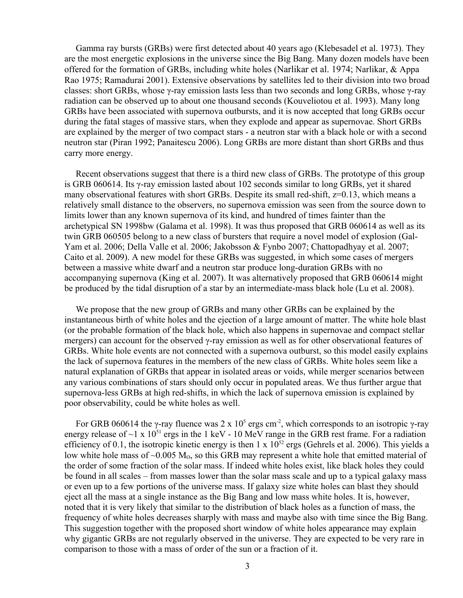Gamma ray bursts (GRBs) were first detected about 40 years ago (Klebesadel et al. 1973). They are the most energetic explosions in the universe since the Big Bang. Many dozen models have been offered for the formation of GRBs, including white holes (Narlikar et al. 1974; Narlikar, & Appa Rao 1975; Ramadurai 2001). Extensive observations by satellites led to their division into two broad classes: short GRBs, whose  $\gamma$ -ray emission lasts less than two seconds and long GRBs, whose  $\gamma$ -ray radiation can be observed up to about one thousand seconds (Kouveliotou et al. 1993). Many long GRBs have been associated with supernova outbursts, and it is now accepted that long GRBs occur during the fatal stages of massive stars, when they explode and appear as supernovae. Short GRBs are explained by the merger of two compact stars - a neutron star with a black hole or with a second neutron star (Piran 1992; Panaitescu 2006). Long GRBs are more distant than short GRBs and thus carry more energy.

 Recent observations suggest that there is a third new class of GRBs. The prototype of this group is GRB 060614. Its γ-ray emission lasted about 102 seconds similar to long GRBs, yet it shared many observational features with short GRBs. Despite its small red-shift, z=0.13, which means a relatively small distance to the observers, no supernova emission was seen from the source down to limits lower than any known supernova of its kind, and hundred of times fainter than the archetypical SN 1998bw (Galama et al. 1998). It was thus proposed that GRB 060614 as well as its twin GRB 060505 belong to a new class of bursters that require a novel model of explosion (Gal-Yam et al. 2006; Della Valle et al. 2006; Jakobsson & Fynbo 2007; Chattopadhyay et al. 2007; Caito et al. 2009). A new model for these GRBs was suggested, in which some cases of mergers between a massive white dwarf and a neutron star produce long-duration GRBs with no accompanying supernova (King et al. 2007). It was alternatively proposed that GRB 060614 might be produced by the tidal disruption of a star by an intermediate-mass black hole (Lu et al. 2008).

 We propose that the new group of GRBs and many other GRBs can be explained by the instantaneous birth of white holes and the ejection of a large amount of matter. The white hole blast (or the probable formation of the black hole, which also happens in supernovae and compact stellar mergers) can account for the observed γ-ray emission as well as for other observational features of GRBs. White hole events are not connected with a supernova outburst, so this model easily explains the lack of supernova features in the members of the new class of GRBs. White holes seem like a natural explanation of GRBs that appear in isolated areas or voids, while merger scenarios between any various combinations of stars should only occur in populated areas. We thus further argue that supernova-less GRBs at high red-shifts, in which the lack of supernova emission is explained by poor observability, could be white holes as well.

For GRB 060614 the γ-ray fluence was 2 x 10<sup>5</sup> ergs cm<sup>-2</sup>, which corresponds to an isotropic γ-ray energy release of  $\sim$ 1 x 10<sup>51</sup> ergs in the 1 keV - 10 MeV range in the GRB rest frame. For a radiation efficiency of 0.1, the isotropic kinetic energy is then 1 x  $10^{52}$  ergs (Gehrels et al. 2006). This yields a low white hole mass of  $\sim$ 0.005 M<sub>o</sub>, so this GRB may represent a white hole that emitted material of the order of some fraction of the solar mass. If indeed white holes exist, like black holes they could be found in all scales – from masses lower than the solar mass scale and up to a typical galaxy mass or even up to a few portions of the universe mass. If galaxy size white holes can blast they should eject all the mass at a single instance as the Big Bang and low mass white holes. It is, however, noted that it is very likely that similar to the distribution of black holes as a function of mass, the frequency of white holes decreases sharply with mass and maybe also with time since the Big Bang. This suggestion together with the proposed short window of white holes appearance may explain why gigantic GRBs are not regularly observed in the universe. They are expected to be very rare in comparison to those with a mass of order of the sun or a fraction of it.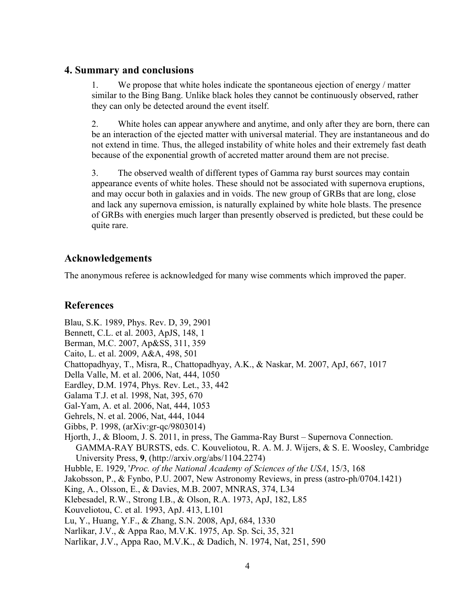### **4. Summary and conclusions**

1. We propose that white holes indicate the spontaneous ejection of energy / matter similar to the Bing Bang. Unlike black holes they cannot be continuously observed, rather they can only be detected around the event itself.

2. White holes can appear anywhere and anytime, and only after they are born, there can be an interaction of the ejected matter with universal material. They are instantaneous and do not extend in time. Thus, the alleged instability of white holes and their extremely fast death because of the exponential growth of accreted matter around them are not precise.

3. The observed wealth of different types of Gamma ray burst sources may contain appearance events of white holes. These should not be associated with supernova eruptions, and may occur both in galaxies and in voids. The new group of GRBs that are long, close and lack any supernova emission, is naturally explained by white hole blasts. The presence of GRBs with energies much larger than presently observed is predicted, but these could be quite rare.

# **Acknowledgements**

The anonymous referee is acknowledged for many wise comments which improved the paper.

# **References**

Blau, S.K. 1989, Phys. Rev. D, 39, 2901 Bennett, C.L. et al. 2003, ApJS, 148, 1 Berman, M.C. 2007, Ap&SS, 311, 359 Caito, L. et al. 2009, A&A, 498, 501 Chattopadhyay, T., Misra, R., Chattopadhyay, A.K., & Naskar, M. 2007, ApJ, 667, 1017 Della Valle, M. et al. 2006, Nat, 444, 1050 Eardley, D.M. 1974, Phys. Rev. Let., 33, 442 Galama T.J. et al. 1998, Nat, 395, 670 Gal-Yam, A. et al. 2006, Nat, 444, 1053 Gehrels, N. et al. 2006, Nat, 444, 1044 Gibbs, P. 1998, (arXiv:gr-qc/9803014) Hjorth, J., & Bloom, J. S. 2011, in press, The Gamma-Ray Burst – Supernova Connection. GAMMA-RAY BURSTS, eds. C. Kouveliotou, R. A. M. J. Wijers, & S. E. Woosley, Cambridge University Press, **9**, (http://arxiv.org/abs/1104.2274) Hubble, E. 1929, '*Proc. of the National Academy of Sciences of the USA*, 15/3, 168 Jakobsson, P., & Fynbo, P.U. 2007, New Astronomy Reviews, in press (astro-ph/0704.1421) King, A., Olsson, E., & Davies, M.B. 2007, MNRAS, 374, L34 Klebesadel, R.W., Strong I.B., & Olson, R.A. 1973, ApJ, 182, L85 Kouveliotou, C. et al. 1993, ApJ. 413, L101 Lu, Y., Huang, Y.F., & Zhang, S.N. 2008, ApJ, 684, 1330 Narlikar, J.V., & Appa Rao, M.V.K. 1975, Ap. Sp. Sci, 35, 321 Narlikar, J.V., Appa Rao, M.V.K., & Dadich, N. 1974, Nat, 251, 590